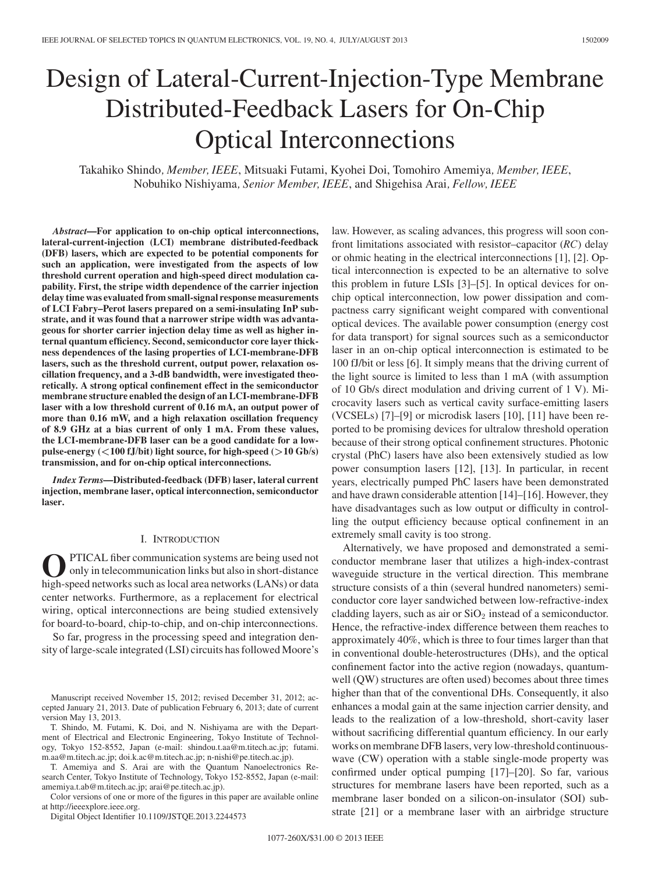# Design of Lateral-Current-Injection-Type Membrane Distributed-Feedback Lasers for On-Chip Optical Interconnections

Takahiko Shindo*, Member, IEEE*, Mitsuaki Futami, Kyohei Doi, Tomohiro Amemiya*, Member, IEEE*, Nobuhiko Nishiyama*, Senior Member, IEEE*, and Shigehisa Arai*, Fellow, IEEE*

*Abstract***—For application to on-chip optical interconnections, lateral-current-injection (LCI) membrane distributed-feedback (DFB) lasers, which are expected to be potential components for such an application, were investigated from the aspects of low threshold current operation and high-speed direct modulation capability. First, the stripe width dependence of the carrier injection delay time was evaluated from small-signal response measurements of LCI Fabry–Perot lasers prepared on a semi-insulating InP substrate, and it was found that a narrower stripe width was advantageous for shorter carrier injection delay time as well as higher internal quantum efficiency. Second, semiconductor core layer thickness dependences of the lasing properties of LCI-membrane-DFB lasers, such as the threshold current, output power, relaxation oscillation frequency, and a 3-dB bandwidth, were investigated theoretically. A strong optical confinement effect in the semiconductor membrane structure enabled the design of an LCI-membrane-DFB laser with a low threshold current of 0.16 mA, an output power of more than 0.16 mW, and a high relaxation oscillation frequency of 8.9 GHz at a bias current of only 1 mA. From these values, the LCI-membrane-DFB laser can be a good candidate for a lowpulse-energy**  $\left(\frac{100 \text{ fJ}}{\text{bit}}\right)$  light source, for high-speed  $\left(\frac{10 \text{ Gb}}{\text{s}}\right)$ **transmission, and for on-chip optical interconnections.**

*Index Terms***—Distributed-feedback (DFB) laser, lateral current injection, membrane laser, optical interconnection, semiconductor laser.**

## I. INTRODUCTION

PTICAL fiber communication systems are being used not only in telecommunication links but also in short-distance high-speed networks such as local area networks (LANs) or data center networks. Furthermore, as a replacement for electrical wiring, optical interconnections are being studied extensively for board-to-board, chip-to-chip, and on-chip interconnections.

So far, progress in the processing speed and integration density of large-scale integrated (LSI) circuits has followed Moore's

Manuscript received November 15, 2012; revised December 31, 2012; accepted January 21, 2013. Date of publication February 6, 2013; date of current version May 13, 2013.

T. Shindo, M. Futami, K. Doi, and N. Nishiyama are with the Department of Electrical and Electronic Engineering, Tokyo Institute of Technology, Tokyo 152-8552, Japan (e-mail: shindou.t.aa@m.titech.ac.jp; futami. m.aa@m.titech.ac.jp; doi.k.ac@m.titech.ac.jp; n-nishi@pe.titech.ac.jp).

T. Amemiya and S. Arai are with the Quantum Nanoelectronics Research Center, Tokyo Institute of Technology, Tokyo 152-8552, Japan (e-mail: amemiya.t.ab@m.titech.ac.jp; arai@pe.titech.ac.jp).

Color versions of one or more of the figures in this paper are available online at http://ieeexplore.ieee.org.

Digital Object Identifier 10.1109/JSTQE.2013.2244573

law. However, as scaling advances, this progress will soon confront limitations associated with resistor–capacitor (*RC*) delay or ohmic heating in the electrical interconnections [1], [2]. Optical interconnection is expected to be an alternative to solve this problem in future LSIs [3]–[5]. In optical devices for onchip optical interconnection, low power dissipation and compactness carry significant weight compared with conventional optical devices. The available power consumption (energy cost for data transport) for signal sources such as a semiconductor laser in an on-chip optical interconnection is estimated to be 100 fJ/bit or less [6]. It simply means that the driving current of the light source is limited to less than 1 mA (with assumption of 10 Gb/s direct modulation and driving current of 1 V). Microcavity lasers such as vertical cavity surface-emitting lasers (VCSELs) [7]–[9] or microdisk lasers [10], [11] have been reported to be promising devices for ultralow threshold operation because of their strong optical confinement structures. Photonic crystal (PhC) lasers have also been extensively studied as low power consumption lasers [12], [13]. In particular, in recent years, electrically pumped PhC lasers have been demonstrated and have drawn considerable attention [14]–[16]. However, they have disadvantages such as low output or difficulty in controlling the output efficiency because optical confinement in an extremely small cavity is too strong.

Alternatively, we have proposed and demonstrated a semiconductor membrane laser that utilizes a high-index-contrast waveguide structure in the vertical direction. This membrane structure consists of a thin (several hundred nanometers) semiconductor core layer sandwiched between low-refractive-index cladding layers, such as air or  $SiO<sub>2</sub>$  instead of a semiconductor. Hence, the refractive-index difference between them reaches to approximately 40%, which is three to four times larger than that in conventional double-heterostructures (DHs), and the optical confinement factor into the active region (nowadays, quantumwell (QW) structures are often used) becomes about three times higher than that of the conventional DHs. Consequently, it also enhances a modal gain at the same injection carrier density, and leads to the realization of a low-threshold, short-cavity laser without sacrificing differential quantum efficiency. In our early works on membrane DFB lasers, very low-threshold continuouswave (CW) operation with a stable single-mode property was confirmed under optical pumping [17]–[20]. So far, various structures for membrane lasers have been reported, such as a membrane laser bonded on a silicon-on-insulator (SOI) substrate [21] or a membrane laser with an airbridge structure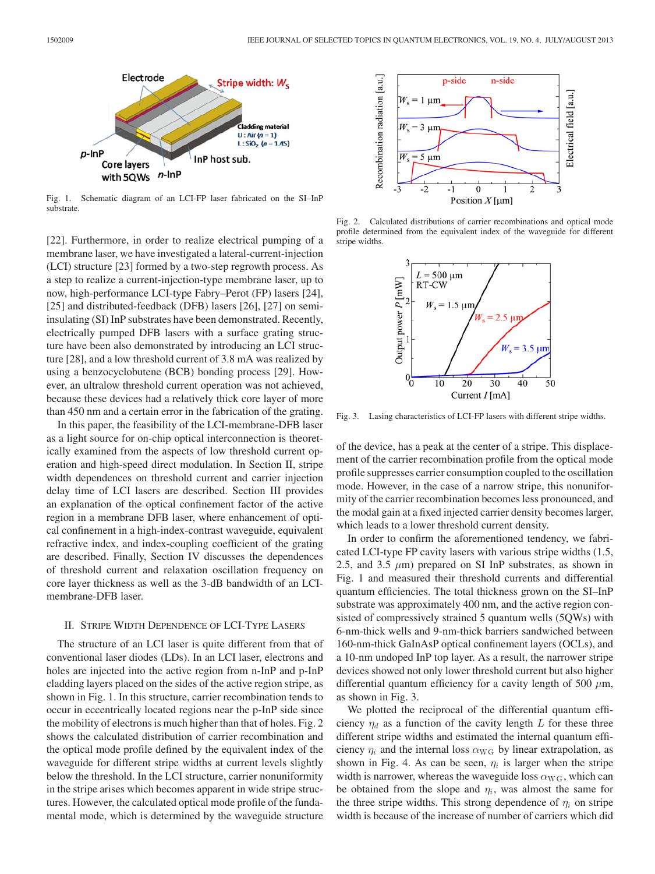

Fig. 1. Schematic diagram of an LCI-FP laser fabricated on the SI–InP substrate.

[22]. Furthermore, in order to realize electrical pumping of a membrane laser, we have investigated a lateral-current-injection (LCI) structure [23] formed by a two-step regrowth process. As a step to realize a current-injection-type membrane laser, up to now, high-performance LCI-type Fabry–Perot (FP) lasers [24], [25] and distributed-feedback (DFB) lasers [26], [27] on semiinsulating (SI) InP substrates have been demonstrated. Recently, electrically pumped DFB lasers with a surface grating structure have been also demonstrated by introducing an LCI structure [28], and a low threshold current of 3.8 mA was realized by using a benzocyclobutene (BCB) bonding process [29]. However, an ultralow threshold current operation was not achieved, because these devices had a relatively thick core layer of more than 450 nm and a certain error in the fabrication of the grating.

In this paper, the feasibility of the LCI-membrane-DFB laser as a light source for on-chip optical interconnection is theoretically examined from the aspects of low threshold current operation and high-speed direct modulation. In Section II, stripe width dependences on threshold current and carrier injection delay time of LCI lasers are described. Section III provides an explanation of the optical confinement factor of the active region in a membrane DFB laser, where enhancement of optical confinement in a high-index-contrast waveguide, equivalent refractive index, and index-coupling coefficient of the grating are described. Finally, Section IV discusses the dependences of threshold current and relaxation oscillation frequency on core layer thickness as well as the 3-dB bandwidth of an LCImembrane-DFB laser.

## II. STRIPE WIDTH DEPENDENCE OF LCI-TYPE LASERS

The structure of an LCI laser is quite different from that of conventional laser diodes (LDs). In an LCI laser, electrons and holes are injected into the active region from n-InP and p-InP cladding layers placed on the sides of the active region stripe, as shown in Fig. 1. In this structure, carrier recombination tends to occur in eccentrically located regions near the p-InP side since the mobility of electrons is much higher than that of holes. Fig. 2 shows the calculated distribution of carrier recombination and the optical mode profile defined by the equivalent index of the waveguide for different stripe widths at current levels slightly below the threshold. In the LCI structure, carrier nonuniformity in the stripe arises which becomes apparent in wide stripe structures. However, the calculated optical mode profile of the fundamental mode, which is determined by the waveguide structure



Fig. 2. Calculated distributions of carrier recombinations and optical mode profile determined from the equivalent index of the waveguide for different stripe widths.



Fig. 3. Lasing characteristics of LCI-FP lasers with different stripe widths.

of the device, has a peak at the center of a stripe. This displacement of the carrier recombination profile from the optical mode profile suppresses carrier consumption coupled to the oscillation mode. However, in the case of a narrow stripe, this nonuniformity of the carrier recombination becomes less pronounced, and the modal gain at a fixed injected carrier density becomes larger, which leads to a lower threshold current density.

In order to confirm the aforementioned tendency, we fabricated LCI-type FP cavity lasers with various stripe widths (1.5, 2.5, and 3.5  $\mu$ m) prepared on SI InP substrates, as shown in Fig. 1 and measured their threshold currents and differential quantum efficiencies. The total thickness grown on the SI–InP substrate was approximately 400 nm, and the active region consisted of compressively strained 5 quantum wells (5QWs) with 6-nm-thick wells and 9-nm-thick barriers sandwiched between 160-nm-thick GaInAsP optical confinement layers (OCLs), and a 10-nm undoped InP top layer. As a result, the narrower stripe devices showed not only lower threshold current but also higher differential quantum efficiency for a cavity length of 500  $\mu$ m, as shown in Fig. 3.

We plotted the reciprocal of the differential quantum efficiency  $\eta_d$  as a function of the cavity length L for these three different stripe widths and estimated the internal quantum efficiency  $\eta_i$  and the internal loss  $\alpha_{\text{WG}}$  by linear extrapolation, as shown in Fig. 4. As can be seen,  $\eta_i$  is larger when the stripe width is narrower, whereas the waveguide loss  $\alpha_{\text{WG}}$ , which can be obtained from the slope and  $\eta_i$ , was almost the same for the three stripe widths. This strong dependence of  $\eta_i$  on stripe width is because of the increase of number of carriers which did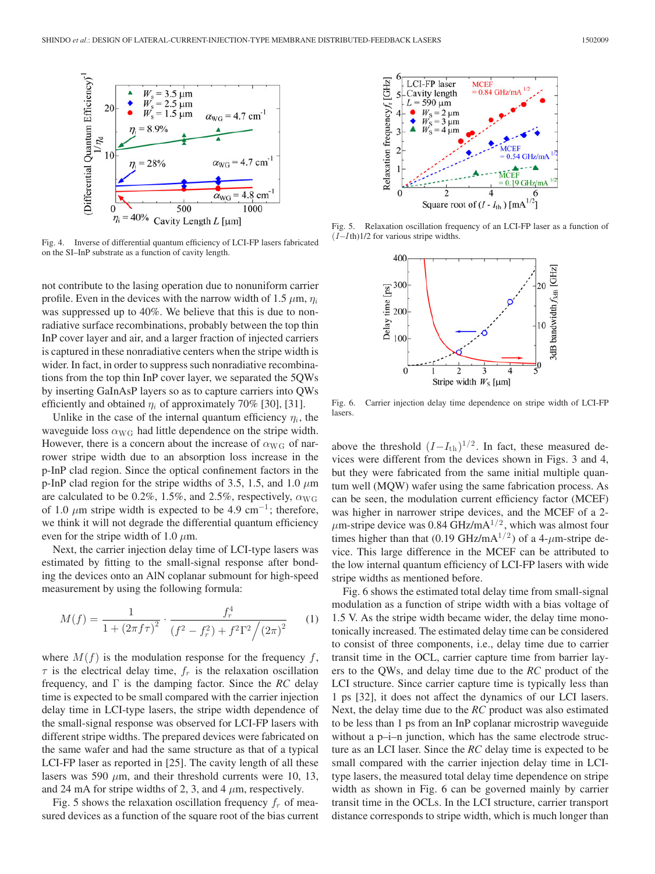

Fig. 4. Inverse of differential quantum efficiency of LCI-FP lasers fabricated on the SI–InP substrate as a function of cavity length.

not contribute to the lasing operation due to nonuniform carrier profile. Even in the devices with the narrow width of 1.5  $\mu$ m,  $\eta_i$ was suppressed up to 40%. We believe that this is due to nonradiative surface recombinations, probably between the top thin InP cover layer and air, and a larger fraction of injected carriers is captured in these nonradiative centers when the stripe width is wider. In fact, in order to suppress such nonradiative recombinations from the top thin InP cover layer, we separated the 5QWs by inserting GaInAsP layers so as to capture carriers into QWs efficiently and obtained  $\eta_i$  of approximately 70% [30], [31].

Unlike in the case of the internal quantum efficiency  $\eta_i$ , the waveguide loss  $\alpha_{\text{WG}}$  had little dependence on the stripe width. However, there is a concern about the increase of  $\alpha_{\text{WG}}$  of narrower stripe width due to an absorption loss increase in the p-InP clad region. Since the optical confinement factors in the p-InP clad region for the stripe widths of 3.5, 1.5, and 1.0  $\mu$ m are calculated to be 0.2%, 1.5%, and 2.5%, respectively,  $\alpha_{\text{WG}}$ of 1.0  $\mu$ m stripe width is expected to be 4.9 cm<sup>-1</sup>; therefore, we think it will not degrade the differential quantum efficiency even for the stripe width of 1.0  $\mu$ m.

Next, the carrier injection delay time of LCI-type lasers was estimated by fitting to the small-signal response after bonding the devices onto an AlN coplanar submount for high-speed measurement by using the following formula:

$$
M(f) = \frac{1}{1 + (2\pi f \tau)^2} \cdot \frac{f_r^4}{(f^2 - f_r^2) + f^2 \Gamma^2 / (2\pi)^2}
$$
 (1)

where  $M(f)$  is the modulation response for the frequency f,  $\tau$  is the electrical delay time,  $f_r$  is the relaxation oscillation frequency, and Γ is the damping factor. Since the *RC* delay time is expected to be small compared with the carrier injection delay time in LCI-type lasers, the stripe width dependence of the small-signal response was observed for LCI-FP lasers with different stripe widths. The prepared devices were fabricated on the same wafer and had the same structure as that of a typical LCI-FP laser as reported in [25]. The cavity length of all these lasers was 590  $\mu$ m, and their threshold currents were 10, 13, and 24 mA for stripe widths of 2, 3, and 4  $\mu$ m, respectively.

Fig. 5 shows the relaxation oscillation frequency  $f_r$  of measured devices as a function of the square root of the bias current



Fig. 5. Relaxation oscillation frequency of an LCI-FP laser as a function of  $(I-Ith)1/2$  for various stripe widths.



Fig. 6. Carrier injection delay time dependence on stripe width of LCI-FP lasers.

above the threshold  $(I-I_{th})^{1/2}$ . In fact, these measured devices were different from the devices shown in Figs. 3 and 4, but they were fabricated from the same initial multiple quantum well (MQW) wafer using the same fabrication process. As can be seen, the modulation current efficiency factor (MCEF) was higher in narrower stripe devices, and the MCEF of a 2-  $\mu$ m-stripe device was 0.84 GHz/mA<sup>1/2</sup>, which was almost four times higher than that (0.19 GHz/mA<sup>1/2</sup>) of a 4- $\mu$ m-stripe device. This large difference in the MCEF can be attributed to the low internal quantum efficiency of LCI-FP lasers with wide stripe widths as mentioned before.

Fig. 6 shows the estimated total delay time from small-signal modulation as a function of stripe width with a bias voltage of 1.5 V. As the stripe width became wider, the delay time monotonically increased. The estimated delay time can be considered to consist of three components, i.e., delay time due to carrier transit time in the OCL, carrier capture time from barrier layers to the QWs, and delay time due to the *RC* product of the LCI structure. Since carrier capture time is typically less than 1 ps [32], it does not affect the dynamics of our LCI lasers. Next, the delay time due to the *RC* product was also estimated to be less than 1 ps from an InP coplanar microstrip waveguide without a p–i–n junction, which has the same electrode structure as an LCI laser. Since the *RC* delay time is expected to be small compared with the carrier injection delay time in LCItype lasers, the measured total delay time dependence on stripe width as shown in Fig. 6 can be governed mainly by carrier transit time in the OCLs. In the LCI structure, carrier transport distance corresponds to stripe width, which is much longer than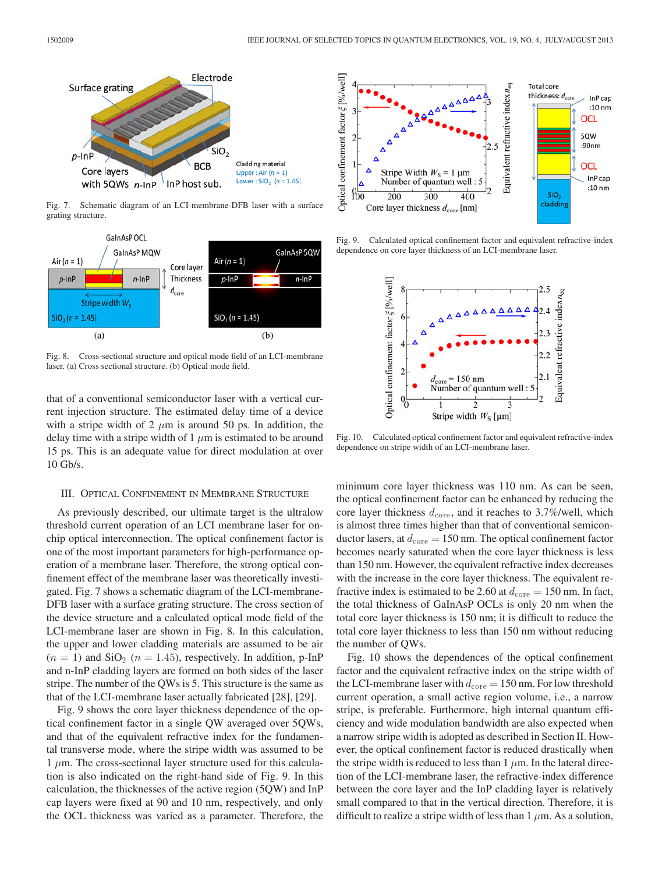

Fig. 7. Schematic diagram of an LCI-membrane-DFB laser with a surface grating structure.



Fig. 8. Cross-sectional structure and optical mode field of an LCI-membrane laser. (a) Cross sectional structure. (b) Optical mode field.

that of a conventional semiconductor laser with a vertical current injection structure. The estimated delay time of a device with a stripe width of 2  $\mu$ m is around 50 ps. In addition, the delay time with a stripe width of 1  $\mu$ m is estimated to be around 15 ps. This is an adequate value for direct modulation at over 10 Gb/s.

## III. OPTICAL CONFINEMENT IN MEMBRANE STRUCTURE

As previously described, our ultimate target is the ultralow threshold current operation of an LCI membrane laser for onchip optical interconnection. The optical confinement factor is one of the most important parameters for high-performance operation of a membrane laser. Therefore, the strong optical confinement effect of the membrane laser was theoretically investigated. Fig. 7 shows a schematic diagram of the LCI-membrane-DFB laser with a surface grating structure. The cross section of the device structure and a calculated optical mode field of the LCI-membrane laser are shown in Fig. 8. In this calculation, the upper and lower cladding materials are assumed to be air  $(n = 1)$  and  $SiO<sub>2</sub>$   $(n = 1.45)$ , respectively. In addition, p-InP and n-InP cladding layers are formed on both sides of the laser stripe. The number of the QWs is 5. This structure is the same as that of the LCI-membrane laser actually fabricated [28], [29].

Fig. 9 shows the core layer thickness dependence of the optical confinement factor in a single QW averaged over 5QWs, and that of the equivalent refractive index for the fundamental transverse mode, where the stripe width was assumed to be  $1 \mu$ m. The cross-sectional layer structure used for this calculation is also indicated on the right-hand side of Fig. 9. In this calculation, the thicknesses of the active region (5QW) and InP cap layers were fixed at 90 and 10 nm, respectively, and only the OCL thickness was varied as a parameter. Therefore, the



Fig. 9. Calculated optical confinement factor and equivalent refractive-index dependence on core layer thickness of an LCI-membrane laser.



Fig. 10. Calculated optical confinement factor and equivalent refractive-index dependence on stripe width of an LCI-membrane laser.

minimum core layer thickness was 110 nm. As can be seen, the optical confinement factor can be enhanced by reducing the core layer thickness  $d_{\text{core}}$ , and it reaches to 3.7%/well, which is almost three times higher than that of conventional semiconductor lasers, at  $d_{\text{core}} = 150$  nm. The optical confinement factor becomes nearly saturated when the core layer thickness is less than 150 nm. However, the equivalent refractive index decreases with the increase in the core layer thickness. The equivalent refractive index is estimated to be 2.60 at  $d_{\text{core}} = 150$  nm. In fact, the total thickness of GaInAsP OCLs is only 20 nm when the total core layer thickness is 150 nm; it is difficult to reduce the total core layer thickness to less than 150 nm without reducing the number of QWs.

Fig. 10 shows the dependences of the optical confinement factor and the equivalent refractive index on the stripe width of the LCI-membrane laser with  $d_{\text{core}} = 150 \text{ nm}$ . For low threshold current operation, a small active region volume, i.e., a narrow stripe, is preferable. Furthermore, high internal quantum efficiency and wide modulation bandwidth are also expected when a narrow stripe width is adopted as described in Section II. However, the optical confinement factor is reduced drastically when the stripe width is reduced to less than  $1 \mu$ m. In the lateral direction of the LCI-membrane laser, the refractive-index difference between the core layer and the InP cladding layer is relatively small compared to that in the vertical direction. Therefore, it is difficult to realize a stripe width of less than  $1 \mu$ m. As a solution,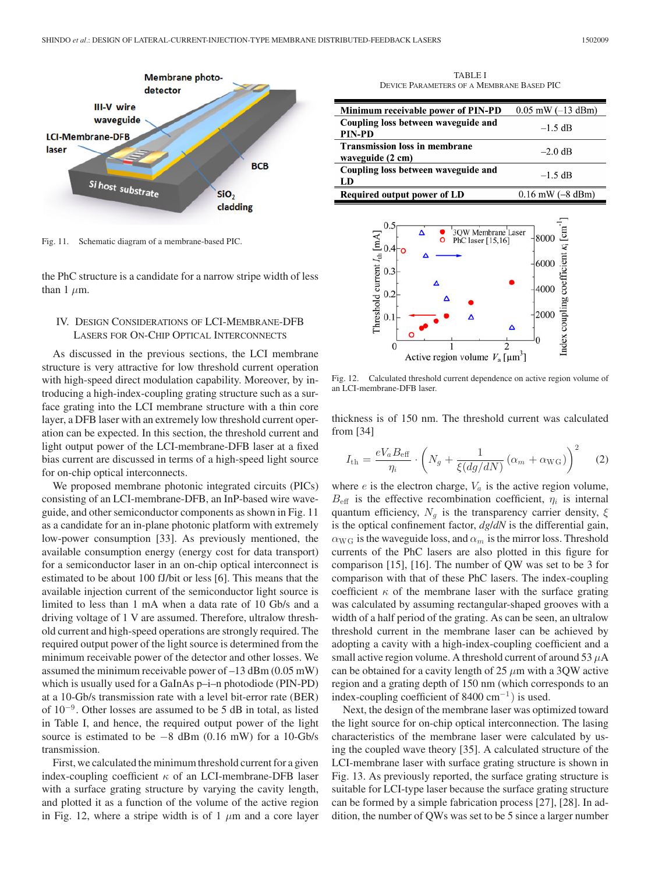

Fig. 11. Schematic diagram of a membrane-based PIC.

the PhC structure is a candidate for a narrow stripe width of less than 1  $\mu$ m.

## IV. DESIGN CONSIDERATIONS OF LCI-MEMBRANE-DFB LASERS FOR ON-CHIP OPTICAL INTERCONNECTS

As discussed in the previous sections, the LCI membrane structure is very attractive for low threshold current operation with high-speed direct modulation capability. Moreover, by introducing a high-index-coupling grating structure such as a surface grating into the LCI membrane structure with a thin core layer, a DFB laser with an extremely low threshold current operation can be expected. In this section, the threshold current and light output power of the LCI-membrane-DFB laser at a fixed bias current are discussed in terms of a high-speed light source for on-chip optical interconnects.

We proposed membrane photonic integrated circuits (PICs) consisting of an LCI-membrane-DFB, an InP-based wire waveguide, and other semiconductor components as shown in Fig. 11 as a candidate for an in-plane photonic platform with extremely low-power consumption [33]. As previously mentioned, the available consumption energy (energy cost for data transport) for a semiconductor laser in an on-chip optical interconnect is estimated to be about 100 fJ/bit or less [6]. This means that the available injection current of the semiconductor light source is limited to less than 1 mA when a data rate of 10 Gb/s and a driving voltage of 1 V are assumed. Therefore, ultralow threshold current and high-speed operations are strongly required. The required output power of the light source is determined from the minimum receivable power of the detector and other losses. We assumed the minimum receivable power of –13 dBm (0.05 mW) which is usually used for a GaInAs  $p-i-n$  photodiode (PIN-PD) at a 10-Gb/s transmission rate with a level bit-error rate (BER) of 10<sup>−</sup><sup>9</sup> . Other losses are assumed to be 5 dB in total, as listed in Table I, and hence, the required output power of the light source is estimated to be −8 dBm (0.16 mW) for a 10-Gb/s transmission.

First, we calculated the minimum threshold current for a given index-coupling coefficient  $\kappa$  of an LCI-membrane-DFB laser with a surface grating structure by varying the cavity length, and plotted it as a function of the volume of the active region in Fig. 12, where a stripe width is of 1  $\mu$ m and a core layer

TABLE I DEVICE PARAMETERS OF A MEMBRANE BASED PIC

| Minimum receivable power of PIN-PD   | $0.05$ mW $(-13$ dBm) |
|--------------------------------------|-----------------------|
| Coupling loss between waveguide and  | $-1.5$ dB             |
| <b>PIN-PD</b>                        |                       |
| <b>Transmission loss in membrane</b> | $-2.0$ dB             |
| waveguide (2 cm)                     |                       |
| Coupling loss between waveguide and  | $-1.5$ dB             |
| LD                                   |                       |
| Required output power of LD          | $0.16$ mW $(-8$ dBm)  |



Fig. 12. Calculated threshold current dependence on active region volume of an LCI-membrane-DFB laser.

thickness is of 150 nm. The threshold current was calculated from [34]

$$
I_{\text{th}} = \frac{eV_a B_{\text{eff}}}{\eta_i} \cdot \left( N_g + \frac{1}{\xi (dg/dN)} \left( \alpha_m + \alpha_{\text{WG}} \right) \right)^2 \tag{2}
$$

where  $e$  is the electron charge,  $V_a$  is the active region volume,  $B<sub>eff</sub>$  is the effective recombination coefficient,  $\eta_i$  is internal quantum efficiency,  $N_q$  is the transparency carrier density,  $\xi$ is the optical confinement factor, *dg*/*dN* is the differential gain,  $\alpha_{\text{WG}}$  is the waveguide loss, and  $\alpha_m$  is the mirror loss. Threshold currents of the PhC lasers are also plotted in this figure for comparison [15], [16]. The number of QW was set to be 3 for comparison with that of these PhC lasers. The index-coupling coefficient  $\kappa$  of the membrane laser with the surface grating was calculated by assuming rectangular-shaped grooves with a width of a half period of the grating. As can be seen, an ultralow threshold current in the membrane laser can be achieved by adopting a cavity with a high-index-coupling coefficient and a small active region volume. A threshold current of around 53  $\mu$ A can be obtained for a cavity length of 25  $\mu$ m with a 3QW active region and a grating depth of 150 nm (which corresponds to an index-coupling coefficient of 8400  $cm^{-1}$ ) is used.

Next, the design of the membrane laser was optimized toward the light source for on-chip optical interconnection. The lasing characteristics of the membrane laser were calculated by using the coupled wave theory [35]. A calculated structure of the LCI-membrane laser with surface grating structure is shown in Fig. 13. As previously reported, the surface grating structure is suitable for LCI-type laser because the surface grating structure can be formed by a simple fabrication process [27], [28]. In addition, the number of QWs was set to be 5 since a larger number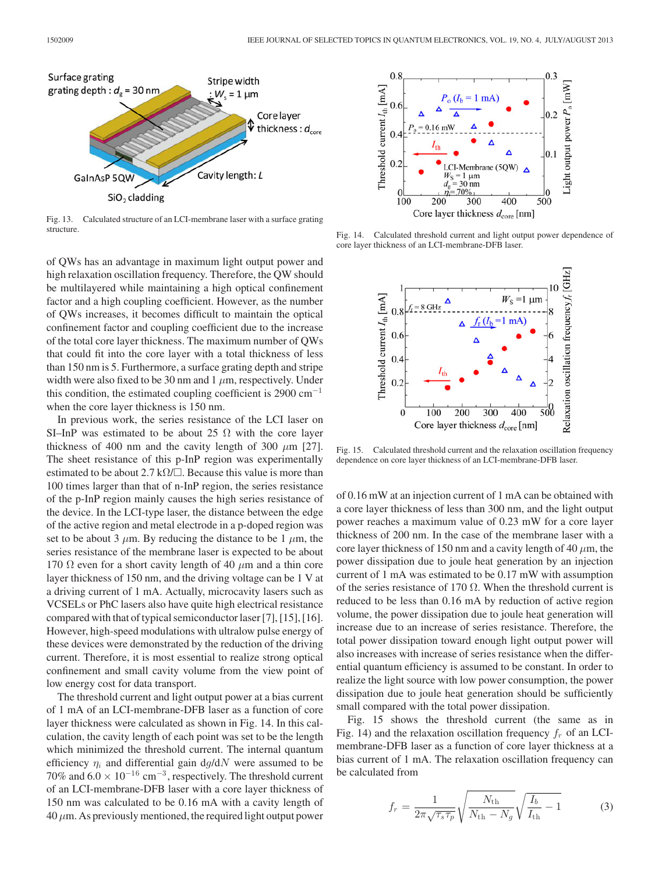

Fig. 13. Calculated structure of an LCI-membrane laser with a surface grating structure.

of QWs has an advantage in maximum light output power and high relaxation oscillation frequency. Therefore, the QW should be multilayered while maintaining a high optical confinement factor and a high coupling coefficient. However, as the number of QWs increases, it becomes difficult to maintain the optical confinement factor and coupling coefficient due to the increase of the total core layer thickness. The maximum number of QWs that could fit into the core layer with a total thickness of less than 150 nm is 5. Furthermore, a surface grating depth and stripe width were also fixed to be 30 nm and  $1 \mu$ m, respectively. Under this condition, the estimated coupling coefficient is 2900  $cm^{-1}$ when the core layer thickness is 150 nm.

In previous work, the series resistance of the LCI laser on SI–InP was estimated to be about 25  $\Omega$  with the core layer thickness of 400 nm and the cavity length of 300  $\mu$ m [27]. The sheet resistance of this p-InP region was experimentally estimated to be about 2.7 k $\Omega/\square$ . Because this value is more than 100 times larger than that of n-InP region, the series resistance of the p-InP region mainly causes the high series resistance of the device. In the LCI-type laser, the distance between the edge of the active region and metal electrode in a p-doped region was set to be about 3  $\mu$ m. By reducing the distance to be 1  $\mu$ m, the series resistance of the membrane laser is expected to be about 170  $\Omega$  even for a short cavity length of 40  $\mu$ m and a thin core layer thickness of 150 nm, and the driving voltage can be 1 V at a driving current of 1 mA. Actually, microcavity lasers such as VCSELs or PhC lasers also have quite high electrical resistance compared with that of typical semiconductor laser [7], [15], [16]. However, high-speed modulations with ultralow pulse energy of these devices were demonstrated by the reduction of the driving current. Therefore, it is most essential to realize strong optical confinement and small cavity volume from the view point of low energy cost for data transport.

The threshold current and light output power at a bias current of 1 mA of an LCI-membrane-DFB laser as a function of core layer thickness were calculated as shown in Fig. 14. In this calculation, the cavity length of each point was set to be the length which minimized the threshold current. The internal quantum efficiency  $\eta_i$  and differential gain dg/dN were assumed to be 70% and  $6.0 \times 10^{-16}$  cm<sup>-3</sup>, respectively. The threshold current of an LCI-membrane-DFB laser with a core layer thickness of 150 nm was calculated to be 0.16 mA with a cavity length of  $40 \mu$ m. As previously mentioned, the required light output power



Fig. 14. Calculated threshold current and light output power dependence of core layer thickness of an LCI-membrane-DFB laser.



Fig. 15. Calculated threshold current and the relaxation oscillation frequency dependence on core layer thickness of an LCI-membrane-DFB laser.

of 0.16 mW at an injection current of 1 mA can be obtained with a core layer thickness of less than 300 nm, and the light output power reaches a maximum value of 0.23 mW for a core layer thickness of 200 nm. In the case of the membrane laser with a core layer thickness of 150 nm and a cavity length of 40  $\mu$ m, the power dissipation due to joule heat generation by an injection current of 1 mA was estimated to be 0.17 mW with assumption of the series resistance of 170  $\Omega$ . When the threshold current is reduced to be less than 0.16 mA by reduction of active region volume, the power dissipation due to joule heat generation will increase due to an increase of series resistance. Therefore, the total power dissipation toward enough light output power will also increases with increase of series resistance when the differential quantum efficiency is assumed to be constant. In order to realize the light source with low power consumption, the power dissipation due to joule heat generation should be sufficiently small compared with the total power dissipation.

Fig. 15 shows the threshold current (the same as in Fig. 14) and the relaxation oscillation frequency  $f_r$  of an LCImembrane-DFB laser as a function of core layer thickness at a bias current of 1 mA. The relaxation oscillation frequency can be calculated from

$$
f_r = \frac{1}{2\pi\sqrt{\tau_s\tau_p}}\sqrt{\frac{N_{\text{th}}}{N_{\text{th}}-N_g}}\sqrt{\frac{I_b}{I_{\text{th}}}-1}
$$
(3)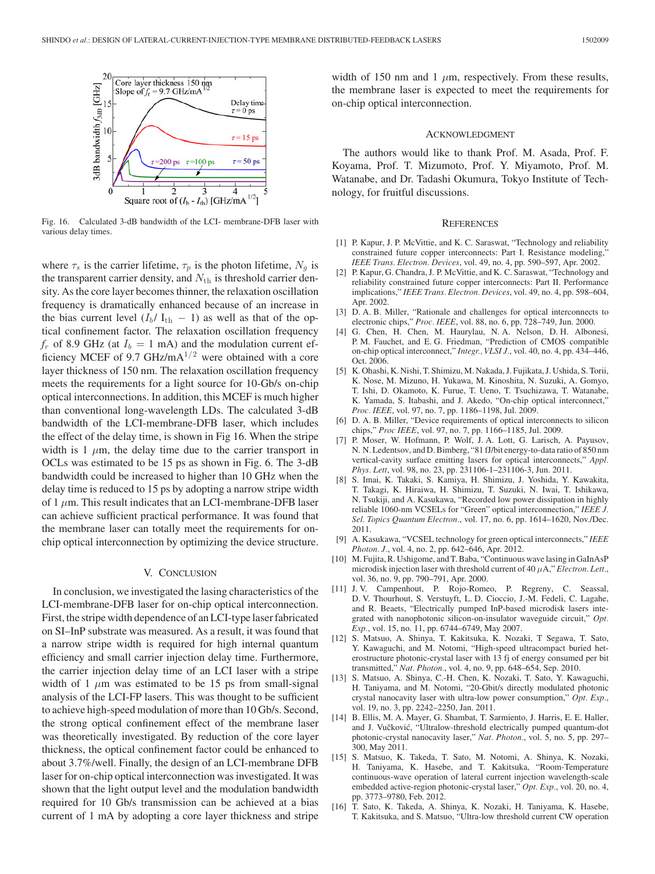

Fig. 16. Calculated 3-dB bandwidth of the LCI- membrane-DFB laser with various delay times.

where  $\tau_s$  is the carrier lifetime,  $\tau_p$  is the photon lifetime,  $N_g$  is the transparent carrier density, and  $N_{\text{th}}$  is threshold carrier density. As the core layer becomes thinner, the relaxation oscillation frequency is dramatically enhanced because of an increase in the bias current level  $(I_b / I_{th} - 1)$  as well as that of the optical confinement factor. The relaxation oscillation frequency  $f_r$  of 8.9 GHz (at  $I_b = 1$  mA) and the modulation current efficiency MCEF of 9.7 GHz/m $A^{1/2}$  were obtained with a core layer thickness of 150 nm. The relaxation oscillation frequency meets the requirements for a light source for 10-Gb/s on-chip optical interconnections. In addition, this MCEF is much higher than conventional long-wavelength LDs. The calculated 3-dB bandwidth of the LCI-membrane-DFB laser, which includes the effect of the delay time, is shown in Fig 16. When the stripe width is 1  $\mu$ m, the delay time due to the carrier transport in OCLs was estimated to be 15 ps as shown in Fig. 6. The 3-dB bandwidth could be increased to higher than 10 GHz when the delay time is reduced to 15 ps by adopting a narrow stripe width of 1  $\mu$ m. This result indicates that an LCI-membrane-DFB laser can achieve sufficient practical performance. It was found that the membrane laser can totally meet the requirements for onchip optical interconnection by optimizing the device structure.

#### V. CONCLUSION

In conclusion, we investigated the lasing characteristics of the LCI-membrane-DFB laser for on-chip optical interconnection. First, the stripe width dependence of an LCI-type laser fabricated on SI–InP substrate was measured. As a result, it was found that a narrow stripe width is required for high internal quantum efficiency and small carrier injection delay time. Furthermore, the carrier injection delay time of an LCI laser with a stripe width of 1  $\mu$ m was estimated to be 15 ps from small-signal analysis of the LCI-FP lasers. This was thought to be sufficient to achieve high-speed modulation of more than 10 Gb/s. Second, the strong optical confinement effect of the membrane laser was theoretically investigated. By reduction of the core layer thickness, the optical confinement factor could be enhanced to about 3.7%/well. Finally, the design of an LCI-membrane DFB laser for on-chip optical interconnection was investigated. It was shown that the light output level and the modulation bandwidth required for 10 Gb/s transmission can be achieved at a bias current of 1 mA by adopting a core layer thickness and stripe

width of 150 nm and 1  $\mu$ m, respectively. From these results, the membrane laser is expected to meet the requirements for on-chip optical interconnection.

## ACKNOWLEDGMENT

The authors would like to thank Prof. M. Asada, Prof. F. Koyama, Prof. T. Mizumoto, Prof. Y. Miyamoto, Prof. M. Watanabe, and Dr. Tadashi Okumura, Tokyo Institute of Technology, for fruitful discussions.

## **REFERENCES**

- [1] P. Kapur, J. P. McVittie, and K. C. Saraswat, "Technology and reliability constrained future copper interconnects: Part I. Resistance modeling, *IEEE Trans. Electron. Devices*, vol. 49, no. 4, pp. 590–597, Apr. 2002.
- [2] P. Kapur, G. Chandra, J. P. McVittie, and K. C. Saraswat, "Technology and reliability constrained future copper interconnects: Part II. Performance implications," *IEEE Trans. Electron. Devices*, vol. 49, no. 4, pp. 598–604, Apr. 2002.
- [3] D. A. B. Miller, "Rationale and challenges for optical interconnects to electronic chips," *Proc. IEEE*, vol. 88, no. 6, pp. 728–749, Jun. 2000.
- [4] G. Chen, H. Chen, M. Haurylau, N. A. Nelson, D. H. Albonesi, P. M. Fauchet, and E. G. Friedman, "Prediction of CMOS compatible on-chip optical interconnect," *Integr., VLSI J.*, vol. 40, no. 4, pp. 434–446, Oct. 2006.
- [5] K. Ohashi, K. Nishi, T. Shimizu, M. Nakada, J. Fujikata, J. Ushida, S. Torii, K. Nose, M. Mizuno, H. Yukawa, M. Kinoshita, N. Suzuki, A. Gomyo, T. Ishi, D. Okamoto, K. Furue, T. Ueno, T. Tsuchizawa, T. Watanabe, K. Yamada, S. Itabashi, and J. Akedo, "On-chip optical interconnect," *Proc. IEEE*, vol. 97, no. 7, pp. 1186–1198, Jul. 2009.
- [6] D. A. B. Miller, "Device requirements of optical interconnects to silicon chips," *Proc IEEE*, vol. 97, no. 7, pp. 1166–1185, Jul. 2009.
- [7] P. Moser, W. Hofmann, P. Wolf, J. A. Lott, G. Larisch, A. Payusov, N. N. Ledentsov, and D. Bimberg, "81 fJ/bit energy-to-data ratio of 850 nm vertical-cavity surface emitting lasers for optical interconnects," *Appl. Phys. Lett*, vol. 98, no. 23, pp. 231106-1–231106-3, Jun. 2011.
- [8] S. Imai, K. Takaki, S. Kamiya, H. Shimizu, J. Yoshida, Y. Kawakita, T. Takagi, K. Hiraiwa, H. Shimizu, T. Suzuki, N. Iwai, T. Ishikawa, N. Tsukiji, and A. Kasukawa, "Recorded low power dissipation in highly reliable 1060-nm VCSELs for "Green" optical interconnection," *IEEE J. Sel. Topics Quantum Electron.*, vol. 17, no. 6, pp. 1614–1620, Nov./Dec. 2011.
- [9] A. Kasukawa, "VCSEL technology for green optical interconnects," *IEEE Photon. J.*, vol. 4, no. 2, pp. 642–646, Apr. 2012.
- [10] M. Fujita, R. Ushigome, and T. Baba, "Continuous wave lasing in GaInAsP microdisk injection laser with threshold current of 40 μA," *Electron. Lett.*, vol. 36, no. 9, pp. 790–791, Apr. 2000.
- [11] J. V. Campenhout, P. Rojo-Romeo, P. Regreny, C. Seassal, D. V. Thourhout, S. Verstuyft, L. D. Cioccio, J.-M. Fedeli, C. Lagahe, and R. Beaets, "Electrically pumped InP-based microdisk lasers integrated with nanophotonic silicon-on-insulator waveguide circuit," *Opt. Exp.*, vol. 15, no. 11, pp. 6744–6749, May 2007.
- [12] S. Matsuo, A. Shinya, T. Kakitsuka, K. Nozaki, T Segawa, T. Sato, Y. Kawaguchi, and M. Notomi, "High-speed ultracompact buried heterostructure photonic-crystal laser with 13 fj of energy consumed per bit transmitted," *Nat. Photon.*, vol. 4, no. 9, pp. 648–654, Sep. 2010.
- [13] S. Matsuo, A. Shinya, C.-H. Chen, K. Nozaki, T. Sato, Y. Kawaguchi, H. Taniyama, and M. Notomi, "20-Gbit/s directly modulated photonic crystal nanocavity laser with ultra-low power consumption," *Opt. Exp.*, vol. 19, no. 3, pp. 2242–2250, Jan. 2011.
- [14] B. Ellis, M. A. Mayer, G. Shambat, T. Sarmiento, J. Harris, E. E. Haller, and J. Vučković, "Ultralow-threshold electrically pumped quantum-dot photonic-crystal nanocavity laser," *Nat. Photon.*, vol. 5, no. 5, pp. 297– 300, May 2011.
- [15] S. Matsuo, K. Takeda, T. Sato, M. Notomi, A. Shinya, K. Nozaki, H. Taniyama, K. Hasebe, and T. Kakitsuka, "Room-Temperature continuous-wave operation of lateral current injection wavelength-scale embedded active-region photonic-crystal laser," *Opt. Exp.*, vol. 20, no. 4, pp. 3773–9780, Feb. 2012.
- [16] T. Sato, K. Takeda, A. Shinya, K. Nozaki, H. Taniyama, K. Hasebe, T. Kakitsuka, and S. Matsuo, "Ultra-low threshold current CW operation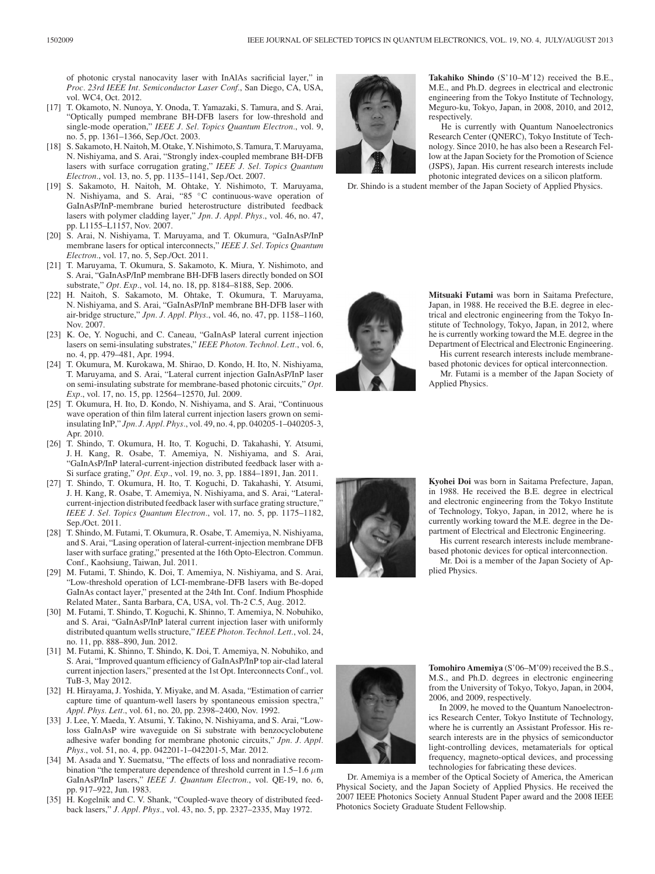of photonic crystal nanocavity laser with InAlAs sacrificial layer," in *Proc. 23rd IEEE Int. Semiconductor Laser Conf.*, San Diego, CA, USA, vol. WC4, Oct. 2012.

- [17] T. Okamoto, N. Nunoya, Y. Onoda, T. Yamazaki, S. Tamura, and S. Arai, "Optically pumped membrane BH-DFB lasers for low-threshold and single-mode operation," *IEEE J. Sel. Topics Quantum Electron.*, vol. 9, no. 5, pp. 1361–1366, Sep./Oct. 2003.
- [18] S. Sakamoto, H. Naitoh, M. Otake, Y. Nishimoto, S. Tamura, T. Maruyama, N. Nishiyama, and S. Arai, "Strongly index-coupled membrane BH-DFB lasers with surface corrugation grating," *IEEE J. Sel. Topics Quantum Electron.*, vol. 13, no. 5, pp. 1135–1141, Sep./Oct. 2007.
- [19] S. Sakamoto, H. Naitoh, M. Ohtake, Y. Nishimoto, T. Maruyama, N. Nishiyama, and S. Arai, "85 ◦C continuous-wave operation of GaInAsP/InP-membrane buried heterostructure distributed feedback lasers with polymer cladding layer," *Jpn. J. Appl. Phys.*, vol. 46, no. 47, pp. L1155–L1157, Nov. 2007.
- [20] S. Arai, N. Nishiyama, T. Maruyama, and T. Okumura, "GaInAsP/InP membrane lasers for optical interconnects," *IEEE J. Sel. Topics Quantum Electron.*, vol. 17, no. 5, Sep./Oct. 2011.
- [21] T. Maruyama, T. Okumura, S. Sakamoto, K. Miura, Y. Nishimoto, and S. Arai, "GaInAsP/InP membrane BH-DFB lasers directly bonded on SOI substrate," *Opt. Exp.*, vol. 14, no. 18, pp. 8184–8188, Sep. 2006.
- [22] H. Naitoh, S. Sakamoto, M. Ohtake, T. Okumura, T. Maruyama, N. Nishiyama, and S. Arai, "GaInAsP/InP membrane BH-DFB laser with air-bridge structure," *Jpn. J. Appl. Phys.*, vol. 46, no. 47, pp. 1158–1160, Nov. 2007.
- [23] K. Oe, Y. Noguchi, and C. Caneau, "GaInAsP lateral current injection lasers on semi-insulating substrates," *IEEE Photon. Technol. Lett.*, vol. 6, no. 4, pp. 479–481, Apr. 1994.
- [24] T. Okumura, M. Kurokawa, M. Shirao, D. Kondo, H. Ito, N. Nishiyama, T. Maruyama, and S. Arai, "Lateral current injection GaInAsP/InP laser on semi-insulating substrate for membrane-based photonic circuits," *Opt. Exp.*, vol. 17, no. 15, pp. 12564–12570, Jul. 2009.
- [25] T. Okumura, H. Ito, D. Kondo, N. Nishiyama, and S. Arai, "Continuous wave operation of thin film lateral current injection lasers grown on semiinsulating InP," *Jpn. J. Appl. Phys.*, vol. 49, no. 4, pp. 040205-1–040205-3, Apr. 2010.
- [26] T. Shindo, T. Okumura, H. Ito, T. Koguchi, D. Takahashi, Y. Atsumi, J. H. Kang, R. Osabe, T. Amemiya, N. Nishiyama, and S. Arai, "GaInAsP/InP lateral-current-injection distributed feedback laser with a-Si surface grating," *Opt. Exp.*, vol. 19, no. 3, pp. 1884–1891, Jan. 2011.
- [27] T. Shindo, T. Okumura, H. Ito, T. Koguchi, D. Takahashi, Y. Atsumi, J. H. Kang, R. Osabe, T. Amemiya, N. Nishiyama, and S. Arai, "Lateralcurrent-injection distributed feedback laser with surface grating structure," *IEEE J. Sel. Topics Quantum Electron.*, vol. 17, no. 5, pp. 1175–1182, Sep./Oct. 2011.
- [28] T. Shindo, M. Futami, T. Okumura, R. Osabe, T. Amemiya, N. Nishiyama, and S. Arai, "Lasing operation of lateral-current-injection membrane DFB laser with surface grating," presented at the 16th Opto-Electron. Commun. Conf., Kaohsiung, Taiwan, Jul. 2011.
- [29] M. Futami, T. Shindo, K. Doi, T. Amemiya, N. Nishiyama, and S. Arai, "Low-threshold operation of LCI-membrane-DFB lasers with Be-doped GaInAs contact layer," presented at the 24th Int. Conf. Indium Phosphide Related Mater., Santa Barbara, CA, USA, vol. Th-2 C.5, Aug. 2012.
- [30] M. Futami, T. Shindo, T. Koguchi, K. Shinno, T. Amemiya, N. Nobuhiko, and S. Arai, "GaInAsP/InP lateral current injection laser with uniformly distributed quantum wells structure," *IEEE Photon. Technol. Lett.*, vol. 24, no. 11, pp. 888–890, Jun. 2012.
- [31] M. Futami, K. Shinno, T. Shindo, K. Doi, T. Amemiya, N. Nobuhiko, and S. Arai, "Improved quantum efficiency of GaInAsP/InP top air-clad lateral current injection lasers," presented at the 1st Opt. Interconnects Conf., vol. TuB-3, May 2012.
- [32] H. Hirayama, J. Yoshida, Y. Miyake, and M. Asada, "Estimation of carrier capture time of quantum-well lasers by spontaneous emission spectra," *Appl. Phys. Lett.*, vol. 61, no. 20, pp. 2398–2400, Nov. 1992.
- [33] J. Lee, Y. Maeda, Y. Atsumi, Y. Takino, N. Nishiyama, and S. Arai, "Lowloss GaInAsP wire waveguide on Si substrate with benzocyclobutene adhesive wafer bonding for membrane photonic circuits," *Jpn. J. Appl. Phys.*, vol. 51, no. 4, pp. 042201-1–042201-5, Mar. 2012.
- [34] M. Asada and Y. Suematsu, "The effects of loss and nonradiative recombination "the temperature dependence of threshold current in 1.5–1.6  $\mu$ m GaInAsP/InP lasers," *IEEE J. Quantum Electron.*, vol. QE-19, no. 6, pp. 917–922, Jun. 1983.
- [35] H. Kogelnik and C. V. Shank, "Coupled-wave theory of distributed feedback lasers," *J. Appl. Phys.*, vol. 43, no. 5, pp. 2327–2335, May 1972.



**Takahiko Shindo** (S'10–M'12) received the B.E., M.E., and Ph.D. degrees in electrical and electronic engineering from the Tokyo Institute of Technology, Meguro-ku, Tokyo, Japan, in 2008, 2010, and 2012, respectively.

He is currently with Quantum Nanoelectronics Research Center (QNERC), Tokyo Institute of Technology. Since 2010, he has also been a Research Fellow at the Japan Society for the Promotion of Science (JSPS), Japan. His current research interests include photonic integrated devices on a silicon platform.

Dr. Shindo is a student member of the Japan Society of Applied Physics.



**Mitsuaki Futami** was born in Saitama Prefecture, Japan, in 1988. He received the B.E. degree in electrical and electronic engineering from the Tokyo Institute of Technology, Tokyo, Japan, in 2012, where he is currently working toward the M.E. degree in the Department of Electrical and Electronic Engineering.

His current research interests include membranebased photonic devices for optical interconnection.

Mr. Futami is a member of the Japan Society of Applied Physics.



**Kyohei Doi** was born in Saitama Prefecture, Japan, in 1988. He received the B.E. degree in electrical and electronic engineering from the Tokyo Institute of Technology, Tokyo, Japan, in 2012, where he is currently working toward the M.E. degree in the Department of Electrical and Electronic Engineering.

His current research interests include membranebased photonic devices for optical interconnection.

Mr. Doi is a member of the Japan Society of Applied Physics.



**Tomohiro Amemiya** (S'06–M'09) received the B.S., M.S., and Ph.D. degrees in electronic engineering from the University of Tokyo, Tokyo, Japan, in 2004, 2006, and 2009, respectively.

In 2009, he moved to the Quantum Nanoelectronics Research Center, Tokyo Institute of Technology, where he is currently an Assistant Professor. His research interests are in the physics of semiconductor light-controlling devices, metamaterials for optical frequency, magneto-optical devices, and processing technologies for fabricating these devices.

Dr. Amemiya is a member of the Optical Society of America, the American Physical Society, and the Japan Society of Applied Physics. He received the 2007 IEEE Photonics Society Annual Student Paper award and the 2008 IEEE Photonics Society Graduate Student Fellowship.